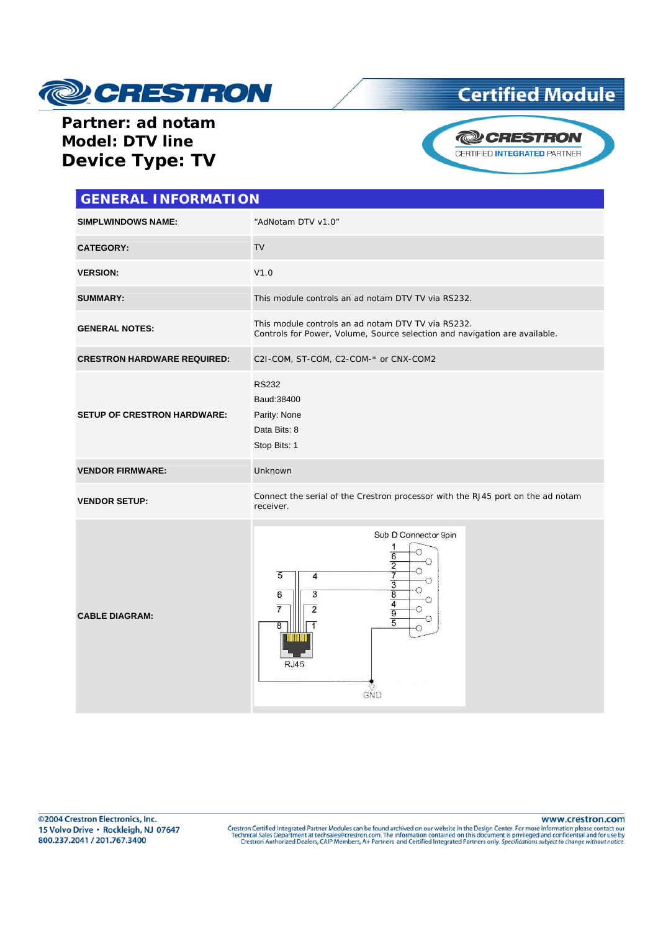

## **Certified Module**

### **Partner: ad notam Model: DTV line Device Type: TV**



| <b>GENERAL INFORMATION</b>         |                                                                                                                                                                                                                                                            |  |
|------------------------------------|------------------------------------------------------------------------------------------------------------------------------------------------------------------------------------------------------------------------------------------------------------|--|
| <b>SIMPLWINDOWS NAME:</b>          | "AdNotam DTV v1.0"                                                                                                                                                                                                                                         |  |
| <b>CATEGORY:</b>                   | <b>TV</b>                                                                                                                                                                                                                                                  |  |
| <b>VERSION:</b>                    | V1.0                                                                                                                                                                                                                                                       |  |
| <b>SUMMARY:</b>                    | This module controls an ad notam DTV TV via RS232.                                                                                                                                                                                                         |  |
| <b>GENERAL NOTES:</b>              | This module controls an ad notam DTV TV via RS232.<br>Controls for Power, Volume, Source selection and navigation are available.                                                                                                                           |  |
| <b>CRESTRON HARDWARE REQUIRED:</b> | C2I-COM, ST-COM, C2-COM-* or CNX-COM2                                                                                                                                                                                                                      |  |
| <b>SETUP OF CRESTRON HARDWARE:</b> | <b>RS232</b><br>Baud: 38400<br>Parity: None<br>Data Bits: 8<br>Stop Bits: 1                                                                                                                                                                                |  |
| <b>VENDOR FIRMWARE:</b>            | Unknown                                                                                                                                                                                                                                                    |  |
| <b>VENDOR SETUP:</b>               | Connect the serial of the Crestron processor with the RJ45 port on the ad notam<br>receiver.                                                                                                                                                               |  |
| <b>CABLE DIAGRAM:</b>              | Sub D Connector 9pin<br>1<br>Ω<br>$\overline{6}$<br>◠<br>$\overline{2}$<br>5<br>7<br>4<br>$\overline{3}$<br>$\frac{8}{4}$<br>$\overline{3}$<br>6<br>. .<br>$\overline{7}$<br>2<br>$\overline{9}$<br>$\overline{5}$<br>$\overline{8}$<br><b>RJ45</b><br>GND |  |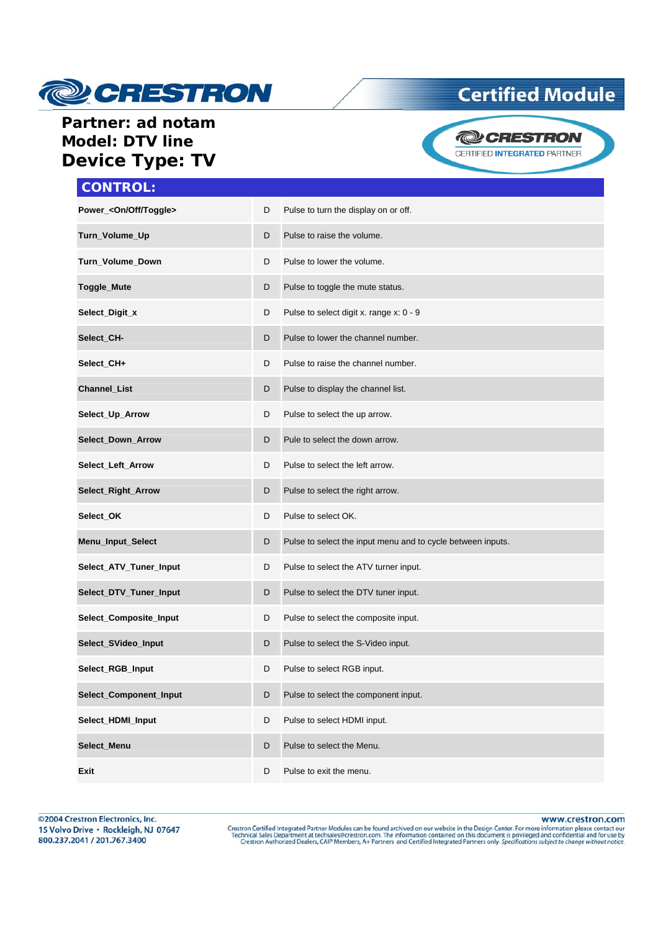

### **Certified Module**

### **Partner: ad notam Model: DTV line Device Type: TV**



## **CONTROL:**

| Power_ <on off="" toggle=""></on> | D | Pulse to turn the display on or off.                        |
|-----------------------------------|---|-------------------------------------------------------------|
| Turn_Volume_Up                    | D | Pulse to raise the volume.                                  |
| Turn_Volume_Down                  | D | Pulse to lower the volume.                                  |
| Toggle_Mute                       | D | Pulse to toggle the mute status.                            |
| Select_Digit_x                    | D | Pulse to select digit x. range x: 0 - 9                     |
| Select_CH-                        | D | Pulse to lower the channel number.                          |
| Select_CH+                        | D | Pulse to raise the channel number.                          |
| Channel_List                      | D | Pulse to display the channel list.                          |
| Select_Up_Arrow                   | D | Pulse to select the up arrow.                               |
| <b>Select_Down_Arrow</b>          | D | Pule to select the down arrow.                              |
| Select_Left_Arrow                 | D | Pulse to select the left arrow.                             |
| Select_Right_Arrow                | D | Pulse to select the right arrow.                            |
| Select_OK                         | D | Pulse to select OK.                                         |
| Menu_Input_Select                 | D | Pulse to select the input menu and to cycle between inputs. |
| Select_ATV_Tuner_Input            | D | Pulse to select the ATV turner input.                       |
| Select_DTV_Tuner_Input            | D | Pulse to select the DTV tuner input.                        |
| Select_Composite_Input            | D | Pulse to select the composite input.                        |
| Select_SVideo_Input               | D | Pulse to select the S-Video input.                          |
| Select_RGB_Input                  | D | Pulse to select RGB input.                                  |
| Select_Component_Input            | D | Pulse to select the component input.                        |
| Select_HDMI_Input                 | D | Pulse to select HDMI input.                                 |
| Select_Menu                       | D | Pulse to select the Menu.                                   |
| Exit                              | D | Pulse to exit the menu.                                     |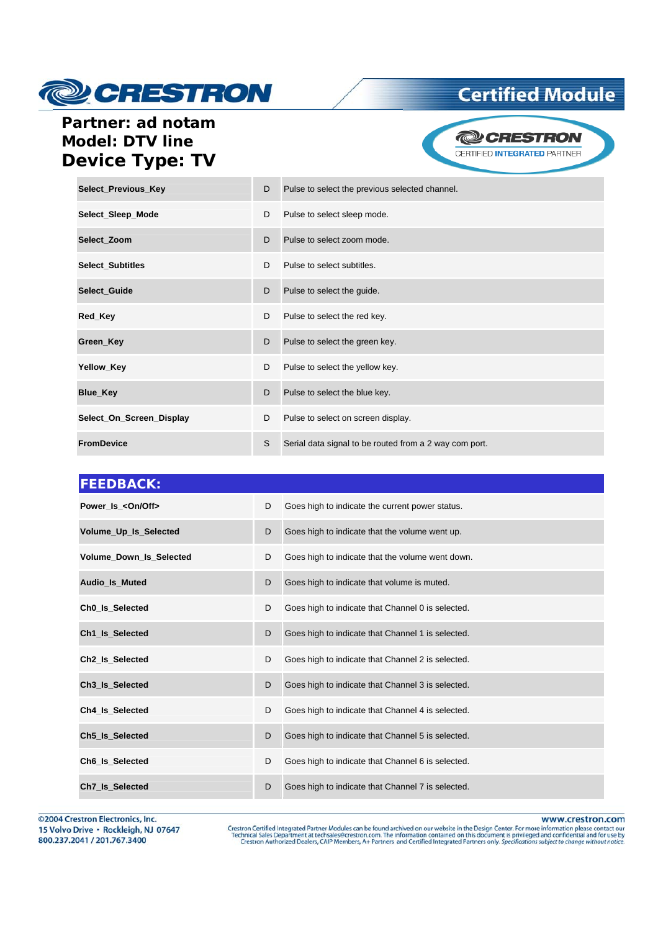

## **Certified Module**

### Partner: ad notam **Model: DTV line Device Type: TV**

**@CRESTRON** CERTIFIED INTEGRATED PARTNER

| Select_Previous_Key      | D  | Pulse to select the previous selected channel.         |
|--------------------------|----|--------------------------------------------------------|
| Select_Sleep_Mode        | D  | Pulse to select sleep mode.                            |
| Select Zoom              | D  | Pulse to select zoom mode.                             |
| Select_Subtitles         | D. | Pulse to select subtitles.                             |
| Select_Guide             | D  | Pulse to select the guide.                             |
| Red_Key                  | D  | Pulse to select the red key.                           |
| Green_Key                | D  | Pulse to select the green key.                         |
| Yellow_Key               | D  | Pulse to select the yellow key.                        |
| <b>Blue_Key</b>          | D  | Pulse to select the blue key.                          |
| Select_On_Screen_Display | D  | Pulse to select on screen display.                     |
| <b>FromDevice</b>        | S  | Serial data signal to be routed from a 2 way com port. |

| <b>FEEDBACK:</b>               |   |                                                   |
|--------------------------------|---|---------------------------------------------------|
| Power Is < On/Off>             | D | Goes high to indicate the current power status.   |
| Volume_Up_Is_Selected          | D | Goes high to indicate that the volume went up.    |
| <b>Volume Down Is Selected</b> | D | Goes high to indicate that the volume went down.  |
| Audio_Is_Muted                 | D | Goes high to indicate that volume is muted.       |
| Ch <sub>0_Is_Selected</sub>    | D | Goes high to indicate that Channel 0 is selected. |
| Ch1_Is_Selected                | D | Goes high to indicate that Channel 1 is selected. |
| Ch <sub>2</sub> Is Selected    | D | Goes high to indicate that Channel 2 is selected. |
| Ch3 Is Selected                | D | Goes high to indicate that Channel 3 is selected. |
| Ch4 Is Selected                | D | Goes high to indicate that Channel 4 is selected. |
| Ch5_Is_Selected                | D | Goes high to indicate that Channel 5 is selected. |
| Ch6 Is Selected                | D | Goes high to indicate that Channel 6 is selected. |
| Ch7 Is Selected                | D | Goes high to indicate that Channel 7 is selected. |

©2004 Crestron Electronics, Inc. 15 Volvo Drive · Rockleigh, NJ 07647 800.237.2041 / 201.767.3400

www.crestron.com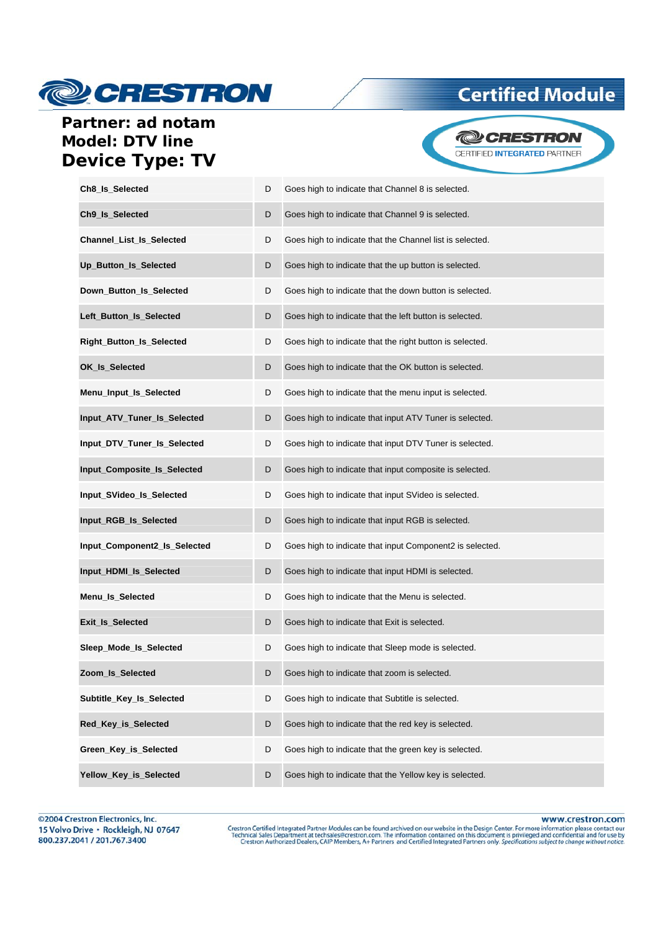# **@CRESTRON**

## **Certified Module**

#### Partner: ad notam **Model: DTV line Device Type: TV**



| Ch8_ls_Selected              | D | Goes high to indicate that Channel 8 is selected.        |
|------------------------------|---|----------------------------------------------------------|
| Ch9 Is Selected              | D | Goes high to indicate that Channel 9 is selected.        |
| Channel_List_Is_Selected     | D | Goes high to indicate that the Channel list is selected. |
| Up_Button_Is_Selected        | D | Goes high to indicate that the up button is selected.    |
| Down_Button_Is_Selected      | D | Goes high to indicate that the down button is selected.  |
| Left_Button_Is_Selected      | D | Goes high to indicate that the left button is selected.  |
| Right_Button_Is_Selected     | D | Goes high to indicate that the right button is selected. |
| OK_Is_Selected               | D | Goes high to indicate that the OK button is selected.    |
| Menu_Input_Is_Selected       | D | Goes high to indicate that the menu input is selected.   |
| Input_ATV_Tuner_Is_Selected  | D | Goes high to indicate that input ATV Tuner is selected.  |
| Input_DTV_Tuner_Is_Selected  | D | Goes high to indicate that input DTV Tuner is selected.  |
| Input_Composite_Is_Selected  | D | Goes high to indicate that input composite is selected.  |
| Input_SVideo_Is_Selected     | D | Goes high to indicate that input SVideo is selected.     |
| Input_RGB_Is_Selected        | D | Goes high to indicate that input RGB is selected.        |
| Input_Component2_Is_Selected | D | Goes high to indicate that input Component2 is selected. |
| Input_HDMI_Is_Selected       | D | Goes high to indicate that input HDMI is selected.       |
| Menu_Is_Selected             | D | Goes high to indicate that the Menu is selected.         |
| Exit_Is_Selected             | D | Goes high to indicate that Exit is selected.             |
| Sleep Mode Is Selected       | D | Goes high to indicate that Sleep mode is selected.       |
| Zoom_Is_Selected             |   | Goes high to indicate that zoom is selected.             |
| Subtitle Key Is Selected     | D | Goes high to indicate that Subtitle is selected.         |
| Red_Key_is_Selected          | D | Goes high to indicate that the red key is selected.      |
| Green_Key_is_Selected        | D | Goes high to indicate that the green key is selected.    |
| Yellow Key is Selected       | D | Goes high to indicate that the Yellow key is selected.   |